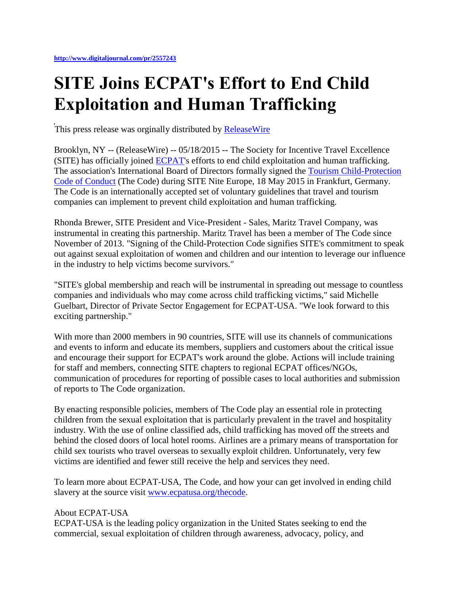## **SITE Joins ECPAT's Effort to End Child Exploitation and Human Trafficking**

This press release was orginally distributed by [ReleaseWire](http://www.releasewire.com/press-releases/release-599106.htm)

Brooklyn, NY -- (ReleaseWire) -- 05/18/2015 -- The Society for Incentive Travel Excellence (SITE) has officially joined [ECPAT's](http://www.ecpatusa.org/) efforts to end child exploitation and human trafficking. The association's International Board of Directors formally signed the [Tourism Child-Protection](http://www.ecpatusa.org/thecode)  [Code of Conduct](http://www.ecpatusa.org/thecode) (The Code) during SITE Nite Europe, 18 May 2015 in Frankfurt, Germany. The Code is an internationally accepted set of voluntary guidelines that travel and tourism companies can implement to prevent child exploitation and human trafficking.

Rhonda Brewer, SITE President and Vice-President - Sales, Maritz Travel Company, was instrumental in creating this partnership. Maritz Travel has been a member of The Code since November of 2013. "Signing of the Child-Protection Code signifies SITE's commitment to speak out against sexual exploitation of women and children and our intention to leverage our influence in the industry to help victims become survivors."

"SITE's global membership and reach will be instrumental in spreading out message to countless companies and individuals who may come across child trafficking victims," said Michelle Guelbart, Director of Private Sector Engagement for ECPAT-USA. "We look forward to this exciting partnership."

With more than 2000 members in 90 countries, SITE will use its channels of communications and events to inform and educate its members, suppliers and customers about the critical issue and encourage their support for ECPAT's work around the globe. Actions will include training for staff and members, connecting SITE chapters to regional ECPAT offices/NGOs, communication of procedures for reporting of possible cases to local authorities and submission of reports to The Code organization.

By enacting responsible policies, members of The Code play an essential role in protecting children from the sexual exploitation that is particularly prevalent in the travel and hospitality industry. With the use of online classified ads, child trafficking has moved off the streets and behind the closed doors of local hotel rooms. Airlines are a primary means of transportation for child sex tourists who travel overseas to sexually exploit children. Unfortunately, very few victims are identified and fewer still receive the help and services they need.

To learn more about ECPAT-USA, The Code, and how your can get involved in ending child slavery at the source visit [www.ecpatusa.org/thecode.](http://www.ecpatusa.org/)

## About ECPAT-USA

ECPAT-USA is the leading policy organization in the United States seeking to end the commercial, sexual exploitation of children through awareness, advocacy, policy, and